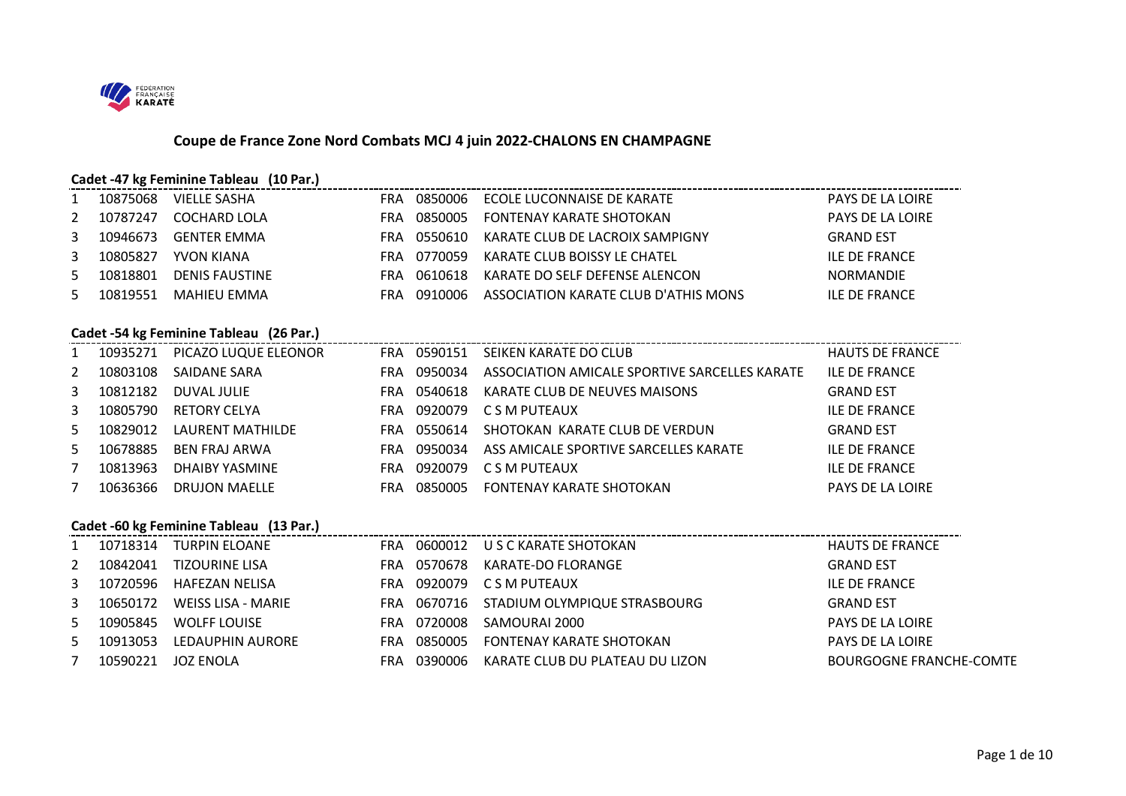

# **Coupe de France Zone Nord Combats MCJ 4 juin 2022-CHALONS EN CHAMPAGNE**

#### **Cadet -47 kg Feminine Tableau (10 Par.)**

|    | 10875068 | VIELLE SASHA          | FRA | 0850006 | ECOLE LUCONNAISE DE KARATE           | PAYS DE LA LOIRE |
|----|----------|-----------------------|-----|---------|--------------------------------------|------------------|
| 2  | 10787247 | COCHARD LOLA          | FRA | 0850005 | FONTENAY KARATE SHOTOKAN             | PAYS DE LA LOIRE |
| 3  | 10946673 | GENTER EMMA           | FRA | 0550610 | KARATE CLUB DE LACROIX SAMPIGNY      | <b>GRAND EST</b> |
| 3  | 10805827 | YVON KIANA            | FRA | 0770059 | KARATE CLUB BOISSY LE CHATEL         | ILE DE FRANCE    |
| 5. | 10818801 | <b>DENIS FAUSTINE</b> | FRA | 0610618 | KARATE DO SELF DEFENSE ALENCON       | <b>NORMANDIE</b> |
| 5. | 10819551 | MAHIEU EMMA           |     | 0910006 | ASSOCIATION KARATE CLUB D'ATHIS MONS | ILE DE FRANCE    |

#### **Cadet -54 kg Feminine Tableau (26 Par.)**

|     | 10935271 | PICAZO LUQUE ELEONOR | FRA | 0590151 | SEIKEN KARATE DO CLUB                         | <b>HAUTS DE FRANCE</b>  |
|-----|----------|----------------------|-----|---------|-----------------------------------------------|-------------------------|
| 2   | 10803108 | SAIDANE SARA         | FRA | 0950034 | ASSOCIATION AMICALE SPORTIVE SARCELLES KARATE | <b>ILE DE FRANCE</b>    |
| 3   | 10812182 | DUVAL JULIE          | FRA | 0540618 | KARATE CLUB DE NEUVES MAISONS                 | <b>GRAND EST</b>        |
| 3   | 10805790 | <b>RETORY CELYA</b>  | FRA | 0920079 | C S M PUTEAUX                                 | <b>ILE DE FRANCE</b>    |
| 5.  | 10829012 | LAURENT MATHILDE     | FRA | 0550614 | SHOTOKAN KARATE CLUB DE VERDUN                | <b>GRAND EST</b>        |
| .5. | 10678885 | BEN FRAJ ARWA        | FRA | 0950034 | ASS AMICALE SPORTIVE SARCELLES KARATE         | <b>ILE DE FRANCE</b>    |
|     | 10813963 | DHAIBY YASMINE       | FRA | 0920079 | C S M PUTEAUX                                 | <b>ILE DE FRANCE</b>    |
|     | 10636366 | <b>DRUJON MAELLE</b> | FRA | 0850005 | FONTENAY KARATE SHOTOKAN                      | <b>PAYS DE LA LOIRE</b> |

#### **Cadet -60 kg Feminine Tableau (13 Par.)**

|    |          | 10718314 TURPIN ELOANE |             | FRA 0600012 USCKARATE SHOTOKAN           | <b>HAUTS DE FRANCE</b>         |
|----|----------|------------------------|-------------|------------------------------------------|--------------------------------|
| 2  | 10842041 | <b>TIZOURINE LISA</b>  | FRA 0570678 | KARATE-DO FLORANGE                       | <b>GRAND EST</b>               |
| 3  | 10720596 | HAFEZAN NELISA         |             | FRA 0920079 CSM PUTEAUX                  | <b>ILE DE FRANCE</b>           |
| 3  | 10650172 | WEISS LISA - MARIE     |             | FRA 0670716 STADIUM OLYMPIQUE STRASBOURG | <b>GRAND EST</b>               |
| 5. | 10905845 | <b>WOLFF LOUISE</b>    | FRA 0720008 | SAMOURAI 2000                            | PAYS DE LA LOIRE               |
| 5. | 10913053 | LEDAUPHIN AURORE       | FRA 0850005 | FONTENAY KARATE SHOTOKAN                 | PAYS DE LA LOIRE               |
|    | 10590221 | JOZ ENOLA              | FRA 0390006 | KARATE CLUB DU PLATEAU DU LIZON          | <b>BOURGOGNE FRANCHE-COMTE</b> |
|    |          |                        |             |                                          |                                |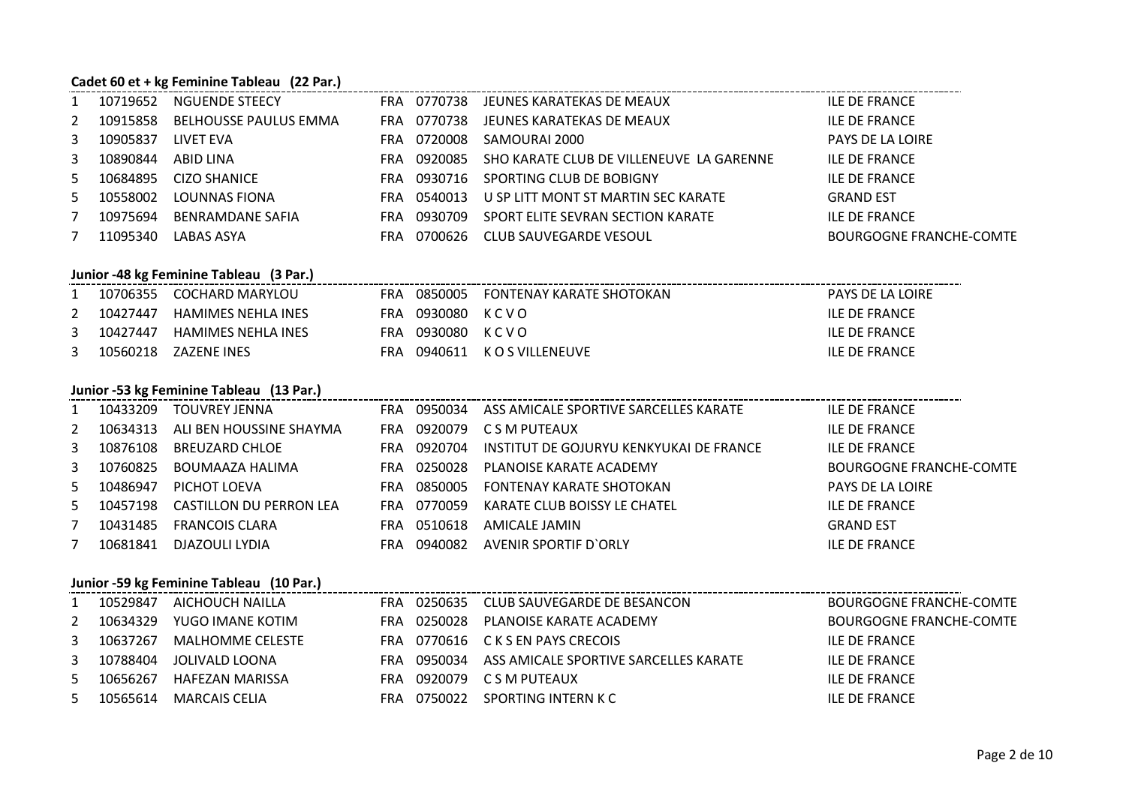#### **Cadet 60 et + kg Feminine Tableau (22 Par.)**

|    | 10719652 | NGUENDE STEECY               |     | FRA 0770738 | JEUNES KARATEKAS DE MEAUX                | <b>ILE DE FRANCE</b>           |
|----|----------|------------------------------|-----|-------------|------------------------------------------|--------------------------------|
| 2  | 10915858 | <b>BELHOUSSE PAULUS EMMA</b> | FRA | 0770738     | JEUNES KARATEKAS DE MEAUX                | <b>ILE DE FRANCE</b>           |
| 3  | 10905837 | LIVET EVA                    | FRA | 0720008     | SAMOURAI 2000                            | <b>PAYS DE LA LOIRE</b>        |
| 3  | 10890844 | ABID LINA                    | FRA | 0920085     | SHO KARATE CLUB DE VILLENEUVE LA GARENNE | <b>ILE DE FRANCE</b>           |
| 5. | 10684895 | CIZO SHANICE                 | FRA | 0930716     | SPORTING CLUB DE BOBIGNY                 | <b>ILE DE FRANCE</b>           |
| 5. | 10558002 | LOUNNAS FIONA                | FRA | 0540013     | U SP LITT MONT ST MARTIN SEC KARATE      | <b>GRAND EST</b>               |
|    | 10975694 | <b>BENRAMDANE SAFIA</b>      | FRA | 0930709     | SPORT ELITE SEVRAN SECTION KARATE        | <b>ILE DE FRANCE</b>           |
|    | 11095340 | LABAS ASYA                   | FRA | 0700626     | CLUB SAUVEGARDE VESOUL                   | <b>BOURGOGNE FRANCHE-COMTE</b> |

|              | Junior -48 kg Feminine Tableau (3 Par.) |                             |     |                  |                                      |                         |  |  |  |  |
|--------------|-----------------------------------------|-----------------------------|-----|------------------|--------------------------------------|-------------------------|--|--|--|--|
| 1            |                                         | 10706355 COCHARD MARYLOU    |     |                  | FRA 0850005 FONTENAY KARATE SHOTOKAN | <b>PAYS DE LA LOIRE</b> |  |  |  |  |
| 2            | 10427447                                | HAMIMES NEHLA INES          |     | FRA 0930080 KCVO |                                      | ILE DE FRANCE           |  |  |  |  |
| $\mathbf{3}$ |                                         | 10427447 HAMIMES NEHLA INES | FRA | 0930080 KCVO     |                                      | ILE DE FRANCE           |  |  |  |  |
| 3            | 10560218                                | ZAZENE INES                 | FRA |                  | 0940611 K O S VILLENEUVE             | ILE DE FRANCE           |  |  |  |  |

#### **Junior -53 kg Feminine Tableau (13 Par.)**

|              | 10433209 | TOUVREY JENNA           |      | FRA 0950034 | ASS AMICALE SPORTIVE SARCELLES KARATE   | ILE DE FRANCE                  |
|--------------|----------|-------------------------|------|-------------|-----------------------------------------|--------------------------------|
| 2            | 10634313 | ALI BEN HOUSSINE SHAYMA |      |             | FRA 0920079 CSM PUTEAUX                 | ILE DE FRANCE                  |
| $\mathbf{3}$ | 10876108 | BREUZARD CHLOE          |      | FRA 0920704 | INSTITUT DE GOJURYU KENKYUKAI DE FRANCE | ILE DE FRANCE                  |
| $\mathbf{3}$ | 10760825 | BOUMAAZA HALIMA         |      | FRA 0250028 | PLANOISE KARATE ACADEMY                 | <b>BOURGOGNE FRANCHE-COMTE</b> |
| 5            | 10486947 | PICHOT LOEVA            | FRA  | 0850005     | FONTENAY KARATE SHOTOKAN                | PAYS DE LA LOIRE               |
| 5            | 10457198 | CASTILLON DU PERRON LEA |      | FRA 0770059 | KARATE CLUB BOISSY LE CHATEL            | ILE DE FRANCE                  |
|              | 10431485 | FRANCOIS CLARA          |      | FRA 0510618 | AMICALE JAMIN                           | <b>GRAND EST</b>               |
|              | 10681841 | DJAZOULI LYDIA          | FRA. | 0940082     | AVENIR SPORTIF D'ORLY                   | <b>ILE DE FRANCE</b>           |

#### **Junior -59 kg Feminine Tableau (10 Par.)**

|    |          | JUINT -39 Kg Ferminie Tableau (IU Fai.) |  |  |                                                   |                                |  |  |  |  |  |
|----|----------|-----------------------------------------|--|--|---------------------------------------------------|--------------------------------|--|--|--|--|--|
|    | 10529847 | AICHOUCH NAILLA                         |  |  | FRA 0250635 CLUB SAUVEGARDE DE BESANCON           | <b>BOURGOGNE FRANCHE-COMTE</b> |  |  |  |  |  |
| 2  | 10634329 | YUGO IMANE KOTIM                        |  |  | FRA 0250028 PLANOISE KARATE ACADEMY               | BOURGOGNE FRANCHE-COMTE        |  |  |  |  |  |
| 3  | 10637267 | MALHOMME CELESTE                        |  |  | FRA 0770616 CKSEN PAYS CRECOIS                    | <b>ILE DE FRANCE</b>           |  |  |  |  |  |
| 3  | 10788404 | JOLIVALD LOONA                          |  |  | FRA 0950034 ASS AMICALE SPORTIVE SARCELLES KARATE | ILE DE FRANCE                  |  |  |  |  |  |
| -5 | 10656267 | HAFEZAN MARISSA                         |  |  | FRA 0920079 CSM PUTEAUX                           | <b>ILE DE FRANCE</b>           |  |  |  |  |  |
| 5. | 10565614 | MARCAIS CELIA                           |  |  | FRA 0750022 SPORTING INTERN K C                   | <b>ILE DE FRANCE</b>           |  |  |  |  |  |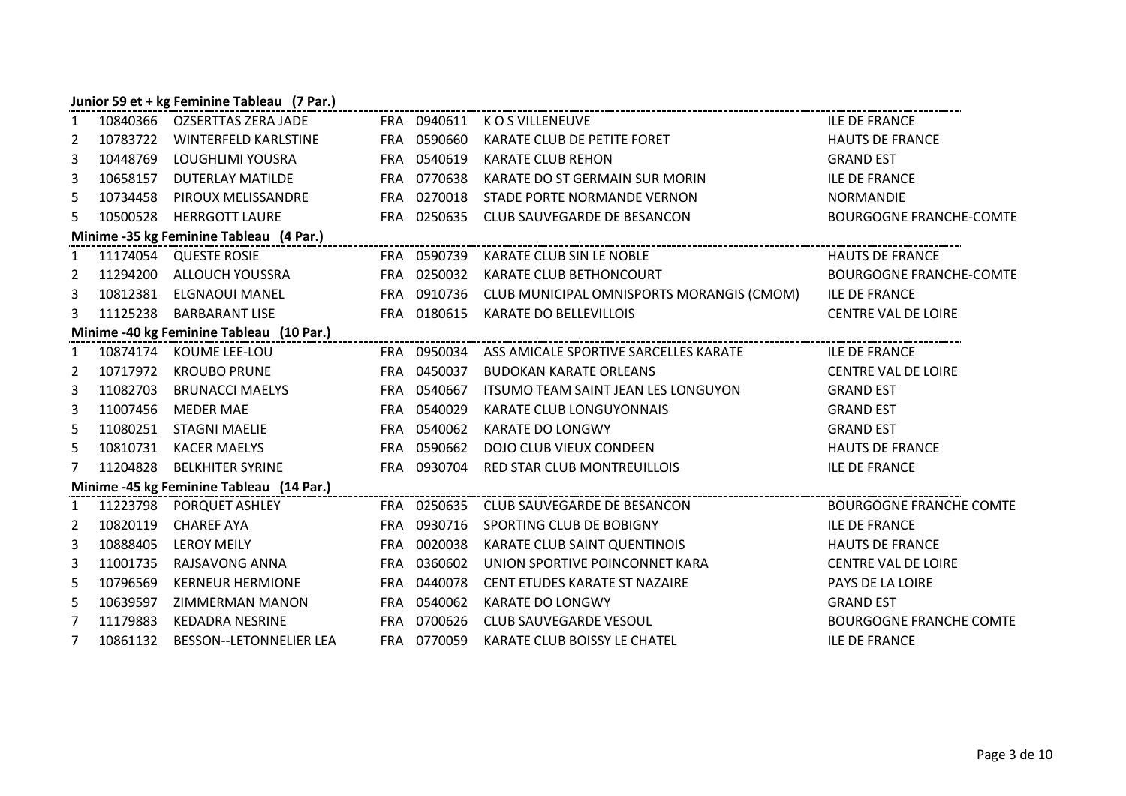#### **Junior 59 et + kg Feminine Tableau (7 Par.)**

| 1              |          | 10840366 OZSERTTAS ZERA JADE                                                                                                                              |             | FRA 0940611 KOSVILLENEUVE                                                 | <b>ILE DE FRANCE</b>           |
|----------------|----------|-----------------------------------------------------------------------------------------------------------------------------------------------------------|-------------|---------------------------------------------------------------------------|--------------------------------|
| $\overline{2}$ |          | 10783722 WINTERFELD KARLSTINE FRA 0590660 KARATE CLUB DE PETITE FORET                                                                                     |             |                                                                           | <b>HAUTS DE FRANCE</b>         |
| 3              | 10448769 | LOUGHLIMI YOUSRA                                                                                                                                          | FRA 0540619 | <b>KARATE CLUB REHON</b>                                                  | <b>GRAND EST</b>               |
| 3              | 10658157 | DUTERLAY MATILDE                                                                                                                                          | FRA 0770638 | KARATE DO ST GERMAIN SUR MORIN                                            | <b>ILE DE FRANCE</b>           |
| 5              | 10734458 | PIROUX MELISSANDRE                                                                                                                                        | FRA 0270018 | STADE PORTE NORMANDE VERNON                                               | <b>NORMANDIE</b>               |
| 5              |          | 10500528 HERRGOTT LAURE                                                                                                                                   |             | FRA 0250635 CLUB SAUVEGARDE DE BESANCON                                   | <b>BOURGOGNE FRANCHE-COMTE</b> |
|                |          | Minime -35 kg Feminine Tableau (4 Par.)<br>minime -35 kg Feminine Tableau (4 Par.)                                                                        |             | ------------------------------------                                      |                                |
|                |          |                                                                                                                                                           |             |                                                                           | <b>HAUTS DE FRANCE</b>         |
|                |          | 2 11294200 ALLOUCH YOUSSRA                                                                                                                                | FRA 0250032 | KARATE CLUB BETHONCOURT                                                   | <b>BOURGOGNE FRANCHE-COMTE</b> |
| 3              |          | 10812381 ELGNAOUI MANEL                                                                                                                                   |             | FRA 0910736 CLUB MUNICIPAL OMNISPORTS MORANGIS (CMOM)                     | <b>ILE DE FRANCE</b>           |
| 3              |          | 11125238 BARBARANT LISE                                                                                                                                   |             | FRA 0180615 KARATE DO BELLEVILLOIS                                        | <b>CENTRE VAL DE LOIRE</b>     |
|                |          | Minime -40 kg Feminine Tableau (10 Par.)<br>The Contract Contract Contract Contract Contract Contract Contract Contract Contract Contract Contract Contra |             |                                                                           |                                |
| $\mathbf{1}$   |          | 10874174 KOUME LEE-LOU                                                                                                                                    |             | FRA 0950034 ASS AMICALE SPORTIVE SARCELLES KARATE                         | <b>ILE DE FRANCE</b>           |
| 2              |          | 10717972 KROUBO PRUNE                                                                                                                                     | FRA 0450037 | <b>BUDOKAN KARATE ORLEANS</b>                                             | <b>CENTRE VAL DE LOIRE</b>     |
| 3              |          | 11082703 BRUNACCI MAELYS                                                                                                                                  | FRA 0540667 | ITSUMO TEAM SAINT JEAN LES LONGUYON                                       | <b>GRAND EST</b>               |
| 3              | 11007456 | MEDER MAE                                                                                                                                                 | FRA 0540029 | KARATE CLUB LONGUYONNAIS                                                  | <b>GRAND EST</b>               |
| 5              |          | 11080251 STAGNI MAELIE                                                                                                                                    | FRA 0540062 | <b>KARATE DO LONGWY</b>                                                   | <b>GRAND EST</b>               |
| 5              |          | 10810731 KACER MAELYS                                                                                                                                     | FRA 0590662 | DOJO CLUB VIEUX CONDEEN                                                   | <b>HAUTS DE FRANCE</b>         |
| 7              | 11204828 | <b>BELKHITER SYRINE</b>                                                                                                                                   |             | FRA 0930704 RED STAR CLUB MONTREUILLOIS                                   | <b>ILE DE FRANCE</b>           |
|                |          | Minime -45 kg Feminine Tableau (14 Par.)<br>minime -45 kg Feminine Tableau (14 Par.)                                                                      |             |                                                                           |                                |
| $\mathbf{1}$   |          |                                                                                                                                                           |             | 11223798 PORQUET ASHLEY FRA 0250635 CLUB SAUVEGARDE DE BESANCON           | <b>BOURGOGNE FRANCHE COMTE</b> |
| $\overline{2}$ |          | 10820119 CHAREF AYA                                                                                                                                       | FRA 0930716 | SPORTING CLUB DE BOBIGNY                                                  | <b>ILE DE FRANCE</b>           |
| 3              | 10888405 | LEROY MEILY                                                                                                                                               | FRA 0020038 | KARATE CLUB SAINT QUENTINOIS                                              | <b>HAUTS DE FRANCE</b>         |
| 3              |          | 11001735 RAJSAVONG ANNA                                                                                                                                   | FRA 0360602 | UNION SPORTIVE POINCONNET KARA                                            | <b>CENTRE VAL DE LOIRE</b>     |
| 5              | 10796569 | <b>KERNEUR HERMIONE</b>                                                                                                                                   | FRA 0440078 | CENT ETUDES KARATE ST NAZAIRE                                             | PAYS DE LA LOIRE               |
| 5              | 10639597 | ZIMMERMAN MANON                                                                                                                                           | FRA 0540062 | <b>KARATE DO LONGWY</b>                                                   | <b>GRAND EST</b>               |
| 7              |          | 11179883 KEDADRA NESRINE                                                                                                                                  | FRA 0700626 | <b>CLUB SAUVEGARDE VESOUL</b>                                             | <b>BOURGOGNE FRANCHE COMTE</b> |
| $7^{\circ}$    |          |                                                                                                                                                           |             | 10861132 BESSON--LETONNELIER LEA FRA 0770059 KARATE CLUB BOISSY LE CHATEL | <b>ILE DE FRANCE</b>           |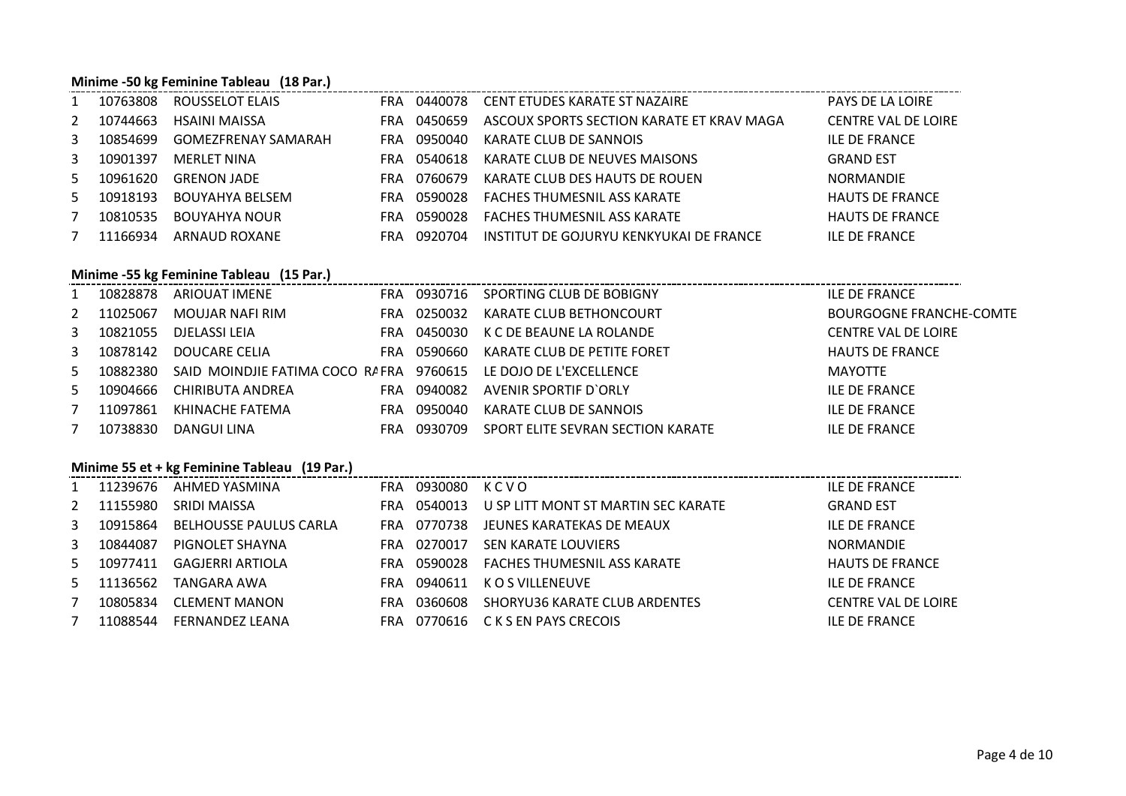#### **Minime -50 kg Feminine Tableau (18 Par.)**

|    | Minime -50 kg Feminine Tableau (18 Par.) |                        |            |         |                                           |                            |  |  |  |  |  |
|----|------------------------------------------|------------------------|------------|---------|-------------------------------------------|----------------------------|--|--|--|--|--|
|    | 10763808                                 | <b>ROUSSELOT ELAIS</b> | FRA        | 0440078 | CENT ETUDES KARATE ST NAZAIRE             | PAYS DE LA LOIRE           |  |  |  |  |  |
| 2  | 10744663                                 | HSAINI MAISSA          | FRA        | 0450659 | ASCOUX SPORTS SECTION KARATE ET KRAV MAGA | <b>CENTRE VAL DE LOIRE</b> |  |  |  |  |  |
| 3  | 10854699                                 | GOMEZFRENAY SAMARAH    | FRA        | 0950040 | KARATE CLUB DE SANNOIS                    | ILE DE FRANCE              |  |  |  |  |  |
| 3  | 10901397                                 | MERLET NINA            | <b>FRA</b> | 0540618 | KARATE CLUB DE NEUVES MAISONS             | <b>GRAND EST</b>           |  |  |  |  |  |
| 5. | 10961620                                 | <b>GRENON JADE</b>     | FRA        | 0760679 | KARATE CLUB DES HAUTS DE ROUEN            | <b>NORMANDIE</b>           |  |  |  |  |  |
| 5. | 10918193                                 | BOUYAHYA BELSEM        | <b>FRA</b> | 0590028 | FACHES THUMESNIL ASS KARATE               | <b>HAUTS DE FRANCE</b>     |  |  |  |  |  |
|    | 10810535                                 | <b>BOUYAHYA NOUR</b>   | FRA        | 0590028 | <b>FACHES THUMESNIL ASS KARATE</b>        | <b>HAUTS DE FRANCE</b>     |  |  |  |  |  |
|    | 11166934                                 | ARNAUD ROXANE          | FRA        | 0920704 | INSTITUT DE GOJURYU KENKYUKAI DE FRANCE   | ILE DE FRANCE              |  |  |  |  |  |

### **Minime -55 kg Feminine Tableau (15 Par.)**

|    | 10828878 | ARIOUAT IMENE<br>FRA.                                           | 0930716 | SPORTING CLUB DE BOBIGNY          | ILE DE FRANCE                  |
|----|----------|-----------------------------------------------------------------|---------|-----------------------------------|--------------------------------|
| 2  | 11025067 | MOUJAR NAFI RIM<br><b>FRA</b>                                   | 0250032 | KARATE CLUB BETHONCOURT           | <b>BOURGOGNE FRANCHE-COMTE</b> |
| 3  | 10821055 | DJELASSI LEIA<br>FRA                                            | 0450030 | K C DE BEAUNE LA ROLANDE          | <b>CENTRE VAL DE LOIRE</b>     |
| 3  | 10878142 | DOUCARE CELIA<br>FRA.                                           | 0590660 | KARATE CLUB DE PETITE FORET       | <b>HAUTS DE FRANCE</b>         |
| 5  | 10882380 | SAID MOINDJIE FATIMA COCO RAFRA 9760615 LE DOJO DE L'EXCELLENCE |         |                                   | MAYOTTE                        |
| 5. | 10904666 | CHIRIBUTA ANDREA<br><b>FRA</b>                                  | 0940082 | AVENIR SPORTIF D'ORLY             | ILE DE FRANCE                  |
|    | 11097861 | KHINACHE FATEMA<br>FRA.                                         | 0950040 | KARATE CLUB DE SANNOIS            | ILE DE FRANCE                  |
|    | 10738830 | DANGUI LINA<br><b>FRA</b>                                       | 0930709 | SPORT ELITE SEVRAN SECTION KARATE | ILE DE FRANCE                  |

# **Minime 55 et + kg Feminine Tableau (19 Par.)**

|   | 11239676 | AHMED YASMINA                 | FRA        | 0930080 | KCVO                                | <b>ILE DE FRANCE</b>       |
|---|----------|-------------------------------|------------|---------|-------------------------------------|----------------------------|
| 2 | 11155980 | SRIDI MAISSA                  | <b>FRA</b> | 0540013 | U SP LITT MONT ST MARTIN SEC KARATE | <b>GRAND EST</b>           |
| 3 | 10915864 | <b>BELHOUSSE PAULUS CARLA</b> | FRA        | 0770738 | JEUNES KARATEKAS DE MEAUX           | <b>ILE DE FRANCE</b>       |
| 3 | 10844087 | PIGNOLET SHAYNA               | <b>FRA</b> | 0270017 | <b>SEN KARATE LOUVIERS</b>          | <b>NORMANDIE</b>           |
| 5 | 10977411 | GAGJERRI ARTIOLA              | <b>FRA</b> | 0590028 | FACHES THUMESNIL ASS KARATE         | <b>HAUTS DE FRANCE</b>     |
| 5 | 11136562 | TANGARA AWA                   | <b>FRA</b> | 0940611 | K O S VILLENEUVE                    | <b>ILE DE FRANCE</b>       |
|   | 10805834 | <b>CLEMENT MANON</b>          | FRA        | 0360608 | SHORYU36 KARATE CLUB ARDENTES       | <b>CENTRE VAL DE LOIRE</b> |
|   | 11088544 | FERNANDEZ LEANA               | FRA        | 0770616 | C K S EN PAYS CRECOIS               | <b>ILE DE FRANCE</b>       |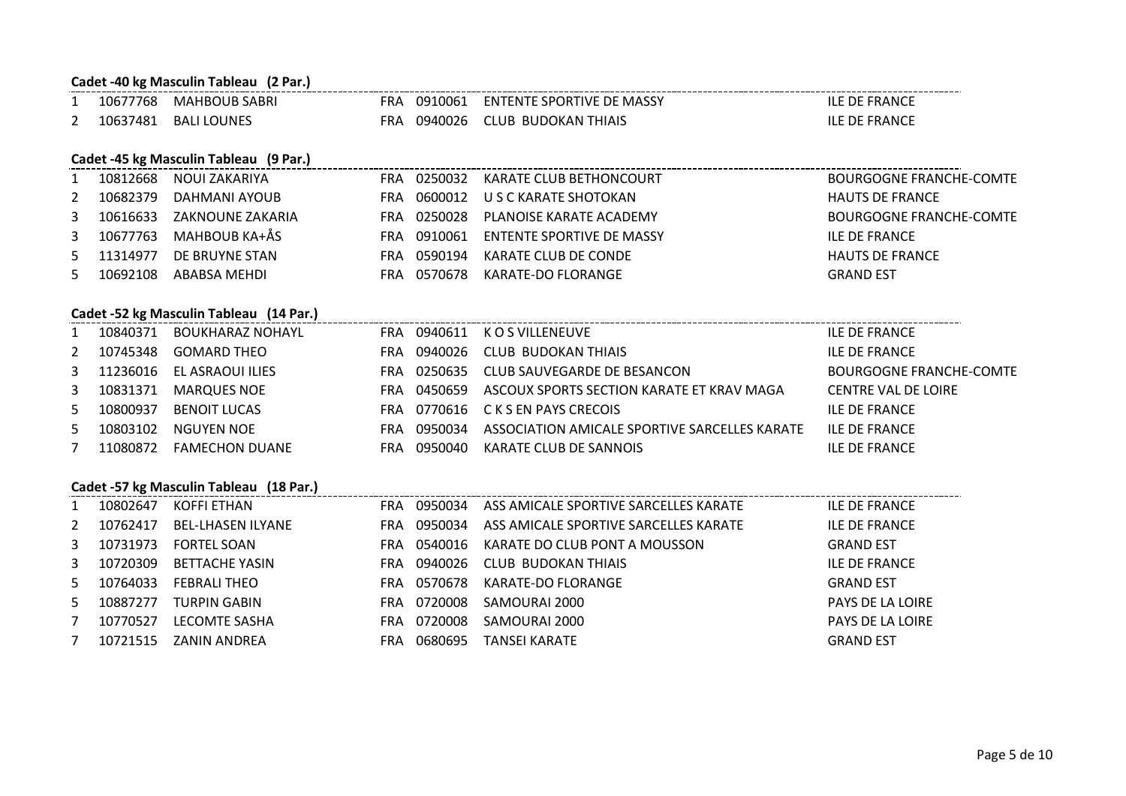# **Cadet -40 kg Masculin Tableau (2 Par.)** 1 10677768 MAHBOUB SABRI FRA 0910061 ENTENTE SPORTIVE DE MASSY ILE DE FRANCE 2 10637481 BALI LOUNES FRA 0940026 CLUB BUDOKAN THIAIS ILE DE FRANCE **Cadet -45 kg Masculin Tableau (9 Par.)** 1 10812668 NOUI ZAKARIYA FRA 0250032 KARATE CLUB BETHONCOURT BOURGOGNE FRANCHE-COMTE 2 10682379 DAHMANI AYOUB FRA 0600012 U S C KARATE SHOTOKAN HAUTS DE FRANCE 3 10616633 ZAKNOUNE ZAKARIA FRA 0250028 PLANOISE KARATE ACADEMY BOURGOGNE FRANCHE-COMTE 3 10677763 MAHBOUB KA+ÅS FRA 0910061 ENTENTE SPORTIVE DE MASSY ILE DE FRANCE<br>5 11314977 DE BRUYNE STAN FRA 0590194 KARATE CLUB DE CONDE HAUTS DE FRAI 5 11314977 DE BRUYNE STAN FRA 0590194 KARATE CLUB DE CONDE HAUTS DE FRANCE 5 10692108 ABABSA MEHDI FRA 0570678 KARATE-DO FLORANGE GRAND EST **Cadet -52 kg Masculin Tableau (14 Par.)** 1 10840371 BOUKHARAZ NOHAYL FRA 0940611 K O S VILLENEUVE THE RESERVIT LES DE FRANCE 2 10745348 GOMARD THEO FRA 0940026 CLUB BUDOKAN THIAIS THING THIAIS ILE DE FRANCE 3 11236016 EL ASRAOUI ILIES FRA 0250635 CLUB SAUVEGARDE DE BESANCON BOURGOGNE FRANCHE-COMTE 3 10831371 MARQUES NOE FRA 0450659 ASCOUX SPORTS SECTION KARATE ET KRAV MAGA CENTRE VAL DE LOIRE 5 10800937 BENOIT LUCAS FRA 0770616 C K S EN PAYS CRECOIS ILE DE FRANCE 5 10803102 NGUYEN NOE FRA 0950034 ASSOCIATION AMICALE SPORTIVE SARCELLES KARATE ILE DE FRANCE 7 11080872 FAMECHON DUANE FRA 0950040 KARATE CLUB DE SANNOIS ILE DE FRANCE **Cadet -57 kg Masculin Tableau (18 Par.)** 1 10802647 KOFFI ETHAN FRA 0950034 ASS AMICALE SPORTIVE SARCELLES KARATE ILE DE FRANCE 2 10762417 BEL-LHASEN ILYANE FRA 0950034 ASS AMICALE SPORTIVE SARCELLES KARATE ILE DE FRANCE 3 10731973 FORTEL SOAN FRA 0540016 KARATE DO CLUB PONT A MOUSSON GRAND EST 3 10720309 BETTACHE YASIN FRA 0940026 CLUB BUDOKAN THIAIS CHARLE BE FRANCE 5 10764033 FEBRALI THEO FRA 0570678 KARATE-DO FLORANGE GRAND EST 5 10887277 TURPIN GABIN FRA 0720008 SAMOURAI 2000 PAYS DE LA LOIRE 7 10770527 LECOMTE SASHA FRA 0720008 SAMOURAI 2000 PAYS DE LA LOIRE 7 10721515 ZANIN ANDREA FRA 0680695 TANSEI KARATE GRAND EST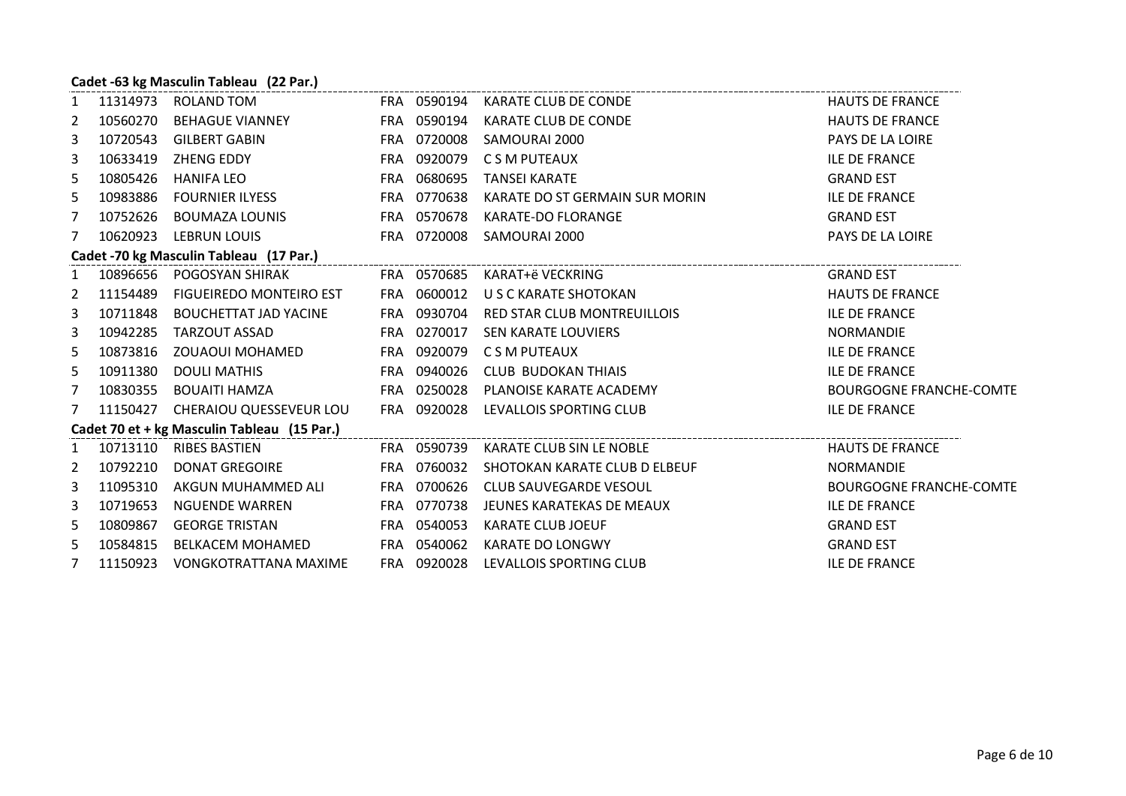#### **Cadet -63 kg Masculin Tableau (22 Par.)**

| $\mathbf{1}$   |          | 11314973 ROLAND TOM                                                                        |             | FRA 0590194 KARATE CLUB DE CONDE                                       | <b>HAUTS DE FRANCE</b>         |
|----------------|----------|--------------------------------------------------------------------------------------------|-------------|------------------------------------------------------------------------|--------------------------------|
| $\overline{2}$ |          | 10560270 BEHAGUE VIANNEY                                                                   |             | FRA 0590194 KARATE CLUB DE CONDE                                       | <b>HAUTS DE FRANCE</b>         |
| 3              | 10720543 | GILBERT GABIN                                                                              | FRA 0720008 | SAMOURAI 2000                                                          | PAYS DE LA LOIRE               |
| 3              |          | 10633419 ZHENG EDDY                                                                        | FRA 0920079 | C S M PUTEAUX                                                          | <b>ILE DE FRANCE</b>           |
| 5              | 10805426 | HANIFA LEO                                                                                 | FRA 0680695 | TANSEI KARATE                                                          | <b>GRAND EST</b>               |
| 5              | 10983886 | FOURNIER ILYESS                                                                            | FRA 0770638 | KARATE DO ST GERMAIN SUR MORIN                                         | <b>ILE DE FRANCE</b>           |
| 7              | 10752626 | BOUMAZA LOUNIS                                                                             | FRA 0570678 | KARATE-DO FLORANGE                                                     | <b>GRAND EST</b>               |
| 7              |          | 10620923 LEBRUN LOUIS                                                                      |             | FRA 0720008 SAMOURAI 2000                                              | PAYS DE LA LOIRE               |
|                |          | Cadet -70 kg Masculin Tableau (17 Par.)                                                    |             |                                                                        |                                |
| $\mathbf{1}$   |          | 10896656 POGOSYAN SHIRAK FRA 0570685 KARAT+ë VECKRING                                      |             |                                                                        | <b>GRAND EST</b>               |
| $\overline{2}$ | 11154489 |                                                                                            |             |                                                                        | <b>HAUTS DE FRANCE</b>         |
| 3              |          |                                                                                            |             | 10711848 BOUCHETTAT JAD YACINE FRA 0930704 RED STAR CLUB MONTREUILLOIS | <b>ILE DE FRANCE</b>           |
| 3              | 10942285 | TARZOUT ASSAD                                                                              | FRA 0270017 | <b>SEN KARATE LOUVIERS</b>                                             | <b>NORMANDIE</b>               |
| 5              |          | 10873816 ZOUAOUI MOHAMED                                                                   |             | FRA 0920079 CSM PUTEAUX                                                | <b>ILE DE FRANCE</b>           |
| 5              | 10911380 | DOULI MATHIS                                                                               | FRA 0940026 | CLUB BUDOKAN THIAIS                                                    | <b>ILE DE FRANCE</b>           |
| 7              | 10830355 | BOUAITI HAMZA                                                                              |             | FRA 0250028 PLANOISE KARATE ACADEMY                                    | <b>BOURGOGNE FRANCHE-COMTE</b> |
| $\overline{7}$ |          | 11150427 CHERAIOU QUESSEVEUR LOU                                                           |             | FRA 0920028 LEVALLOIS SPORTING CLUB                                    | <b>ILE DE FRANCE</b>           |
|                |          | Cadet 70 et + kg Masculin Tableau (15 Par.)<br>cadet 70 et + kg Masculin Tableau (15 Par.) |             |                                                                        |                                |
| 1              |          | 10713110 RIBES BASTIEN                                                                     |             | FRA 0590739 KARATE CLUB SIN LE NOBLE                                   | <b>HAUTS DE FRANCE</b>         |
| $\overline{2}$ | 10792210 | DONAT GREGOIRE                                                                             | FRA 0760032 | SHOTOKAN KARATE CLUB D ELBEUF                                          | NORMANDIE                      |
| 3              | 11095310 | AKGUN MUHAMMED ALI                                                                         | FRA 0700626 | CLUB SAUVEGARDE VESOUL                                                 | <b>BOURGOGNE FRANCHE-COMTE</b> |
| 3              | 10719653 | NGUENDE WARREN                                                                             | FRA 0770738 | JEUNES KARATEKAS DE MEAUX                                              | <b>ILE DE FRANCE</b>           |
| 5              | 10809867 | <b>GEORGE TRISTAN</b>                                                                      | FRA 0540053 | KARATE CLUB JOEUF                                                      | <b>GRAND EST</b>               |
| 5              | 10584815 | <b>BELKACEM MOHAMED</b>                                                                    | FRA 0540062 | <b>KARATE DO LONGWY</b>                                                | <b>GRAND EST</b>               |
| 7 <sup>7</sup> | 11150923 | VONGKOTRATTANA MAXIME FRA 0920028 LEVALLOIS SPORTING CLUB                                  |             |                                                                        | <b>ILE DE FRANCE</b>           |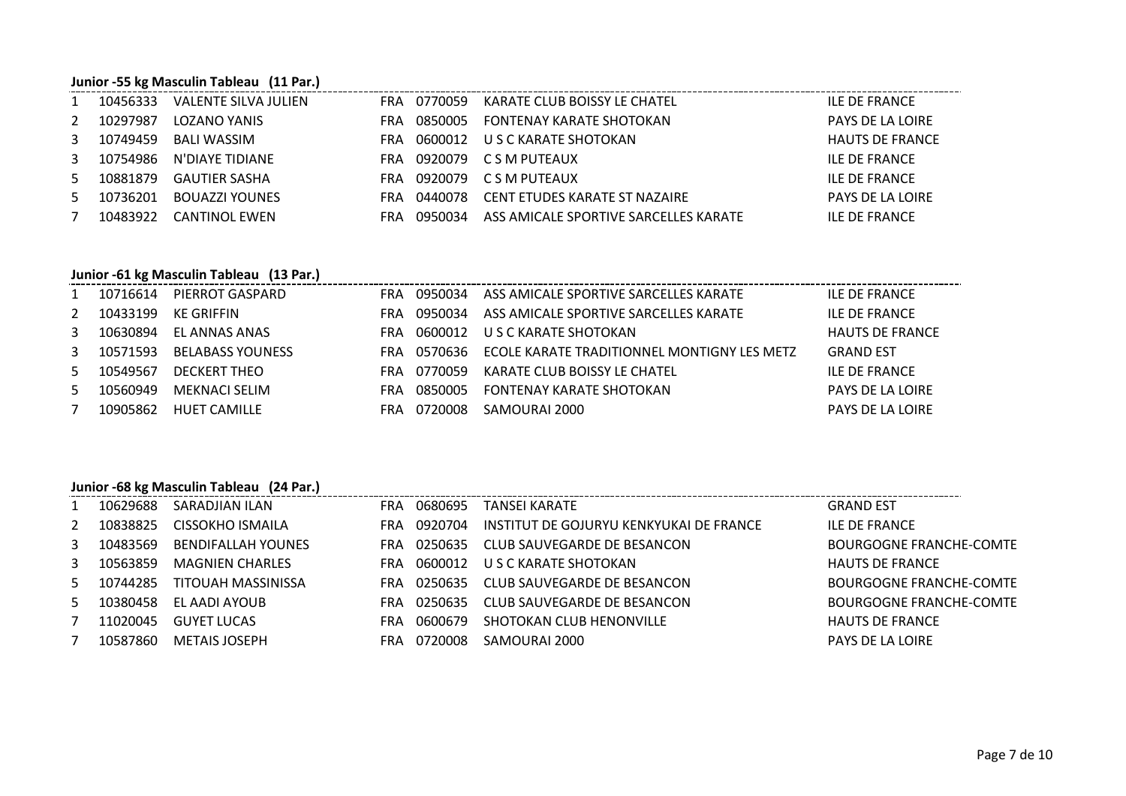#### **Junior -55 kg Masculin Tableau (11 Par.)**

|     | Junior -55 kg Masculin Tableau (11 Par.) |                      |     |         |                                       |                         |  |  |  |  |  |
|-----|------------------------------------------|----------------------|-----|---------|---------------------------------------|-------------------------|--|--|--|--|--|
|     | 10456333                                 | VALENTE SILVA JULIEN | FRA | 0770059 | KARATE CLUB BOISSY LE CHATEL          | ILE DE FRANCE           |  |  |  |  |  |
| 2   | 10297987                                 | LOZANO YANIS         | FRA | 0850005 | <b>FONTENAY KARATE SHOTOKAN</b>       | <b>PAYS DE LA LOIRE</b> |  |  |  |  |  |
| 3   | 10749459                                 | <b>BALI WASSIM</b>   | FRA | 0600012 | U S C KARATE SHOTOKAN                 | <b>HAUTS DE FRANCE</b>  |  |  |  |  |  |
| 3   | 10754986                                 | N'DIAYE TIDIANE      | FRA |         | 0920079 C S M PUTEAUX                 | ILE DE FRANCE           |  |  |  |  |  |
| .5. | 10881879                                 | <b>GAUTIER SASHA</b> | FRA |         | 0920079 C S M PUTEAUX                 | <b>ILE DE FRANCE</b>    |  |  |  |  |  |
| 5   | 10736201                                 | BOUAZZI YOUNES       | FRA | 0440078 | CENT ETUDES KARATE ST NAZAIRE         | <b>PAYS DE LA LOIRE</b> |  |  |  |  |  |
|     | 10483922                                 | CANTINOL EWEN        | FRA | 0950034 | ASS AMICALE SPORTIVE SARCELLES KARATE | <b>ILE DE FRANCE</b>    |  |  |  |  |  |

#### **Junior -61 kg Masculin Tableau (13 Par.)**

|             |                       | 1 10716614 PIERROT GASPARD  |      |             | FRA 0950034 ASS AMICALE SPORTIVE SARCELLES KARATE       | ILE DE FRANCE           |
|-------------|-----------------------|-----------------------------|------|-------------|---------------------------------------------------------|-------------------------|
|             | 2 10433199 KE GRIFFIN |                             | FRA  | 0950034     | ASS AMICALE SPORTIVE SARCELLES KARATE                   | ILE DE FRANCE           |
|             |                       | 3 10630894 EL ANNAS ANAS    | FRA  |             | 0600012 U S C KARATE SHOTOKAN                           | <b>HAUTS DE FRANCE</b>  |
|             |                       | 3 10571593 BELABASS YOUNESS |      |             | FRA 0570636 ECOLE KARATE TRADITIONNEL MONTIGNY LES METZ | <b>GRAND EST</b>        |
|             | 5 10549567            | DECKERT THEO                |      | FRA 0770059 | KARATE CLUB BOISSY LE CHATEL                            | ILE DE FRANCE           |
|             | 5 10560949            | MEKNACI SELIM               | FRA  | 0850005     | FONTENAY KARATE SHOTOKAN                                | <b>PAYS DE LA LOIRE</b> |
| $7^{\circ}$ | 10905862              | HUET CAMILLE                | FRA. |             | 0720008 SAMOURAI 2000                                   | <b>PAYS DE LA LOIRE</b> |

# **Junior -68 kg Masculin Tableau (24 Par.)**

|              | 10629688 | SARADJIAN ILAN            | FRA. | 0680695 | TANSEI KARATE                           | <b>GRAND EST</b>        |
|--------------|----------|---------------------------|------|---------|-----------------------------------------|-------------------------|
| 2            | 10838825 | CISSOKHO ISMAILA          | FRA  | 0920704 | INSTITUT DE GOJURYU KENKYUKAI DE FRANCE | ILE DE FRANCE           |
| $\mathbf{3}$ | 10483569 | <b>BENDIFALLAH YOUNES</b> | FRA  | 0250635 | CLUB SAUVEGARDE DE BESANCON             | BOURGOGNE FRANCHE-COMTE |
| 3            | 10563859 | <b>MAGNIEN CHARLES</b>    | FRA  | 0600012 | U S C KARATE SHOTOKAN                   | <b>HAUTS DE FRANCE</b>  |
| $5 -$        | 10744285 | TITOUAH MASSINISSA        | FRA  | 0250635 | CLUB SAUVEGARDE DE BESANCON             | BOURGOGNE FRANCHE-COMTE |
| .5.          | 10380458 | EL AADI AYOUB             | FRA  | 0250635 | CLUB SAUVEGARDE DE BESANCON             | BOURGOGNE FRANCHE-COMTE |
|              | 11020045 | <b>GUYET LUCAS</b>        | FRA  | 0600679 | SHOTOKAN CLUB HENONVILLE                | <b>HAUTS DE FRANCE</b>  |
|              | 10587860 | <b>METAIS JOSEPH</b>      | FRA  | 0720008 | SAMOURAI 2000                           | <b>PAYS DE LA LOIRE</b> |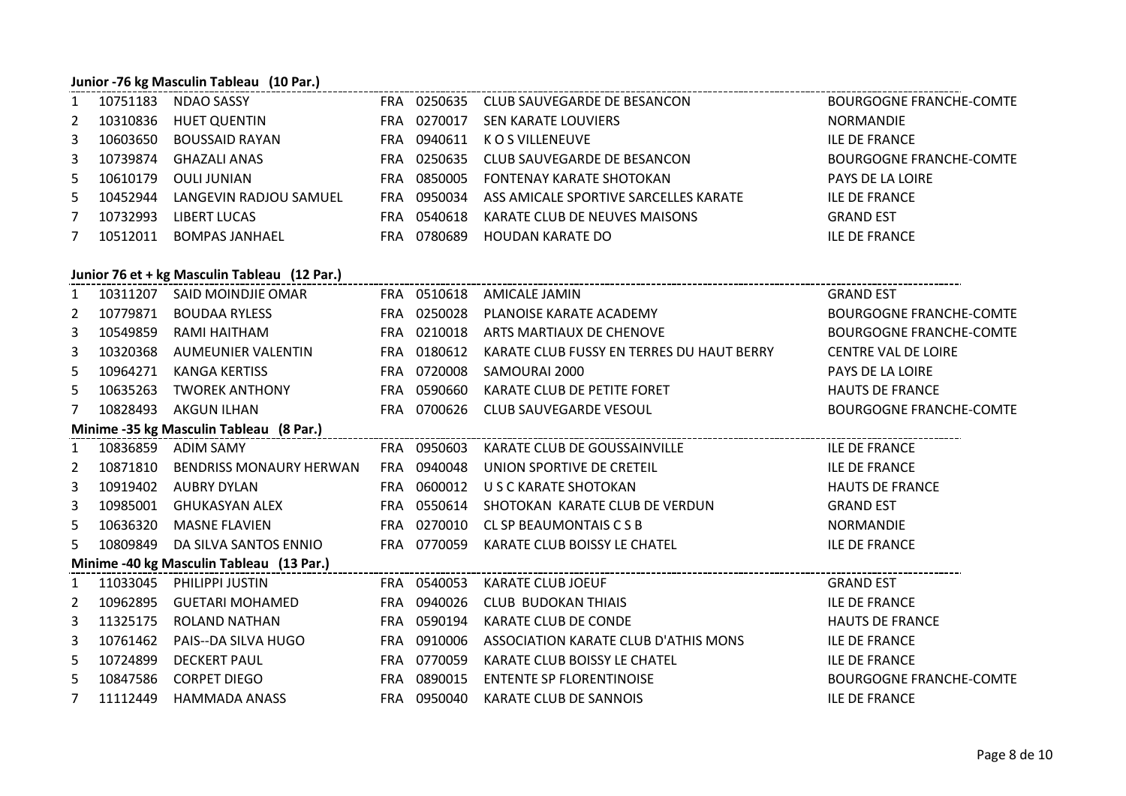# **Junior -76 kg Masculin Tableau (10 Par.)**

| 10751183   | NDAO SASSY             | FRA. |             | 0250635 CLUB SAUVEGARDE DE BESANCON   | <b>BOURGOGNE FRANCHE-COMTE</b> |
|------------|------------------------|------|-------------|---------------------------------------|--------------------------------|
| 2 10310836 | <b>HUET QUENTIN</b>    | FRA. | 0270017     | SEN KARATE LOUVIERS                   | NORMANDIE                      |
| 3 10603650 | BOUSSAID RAYAN         | FRA  | 0940611     | K O S VILLENEUVE                      | <b>ILE DE FRANCE</b>           |
| 3 10739874 | GHAZALI ANAS           | FRA  |             | 0250635 CLUB SAUVEGARDE DE BESANCON   | BOURGOGNE FRANCHE-COMTE        |
| 5 10610179 | OULI JUNIAN            | FRA  |             | 0850005 FONTENAY KARATE SHOTOKAN      | <b>PAYS DE LA LOIRE</b>        |
| 5 10452944 | LANGEVIN RADJOU SAMUEL |      | FRA 0950034 | ASS AMICALE SPORTIVE SARCELLES KARATE | <b>ILE DE FRANCE</b>           |
| 10732993   | LIBERT LUCAS           | FRA. | 0540618     | KARATE CLUB DE NEUVES MAISONS         | <b>GRAND EST</b>               |
| 10512011   | <b>BOMPAS JANHAEL</b>  | FRA. | 0780689     | HOUDAN KARATE DO                      | <b>ILE DE FRANCE</b>           |

## **Junior 76 et + kg Masculin Tableau (12 Par.)**

| 1              |          | 10311207 SAID MOINDJIE OMAR              | <b>FRA 0510618</b> | AMICALE JAMIN                             | <b>GRAND EST</b>               |
|----------------|----------|------------------------------------------|--------------------|-------------------------------------------|--------------------------------|
| $\overline{2}$ | 10779871 | BOUDAA RYLESS                            | FRA 0250028        | PLANOISE KARATE ACADEMY                   | <b>BOURGOGNE FRANCHE-COMTE</b> |
| 3              | 10549859 | RAMI HAITHAM                             | FRA 0210018        | ARTS MARTIAUX DE CHENOVE                  | <b>BOURGOGNE FRANCHE-COMTE</b> |
| 3              | 10320368 | AUMEUNIER VALENTIN                       | FRA 0180612        | KARATE CLUB FUSSY EN TERRES DU HAUT BERRY | <b>CENTRE VAL DE LOIRE</b>     |
| 5              | 10964271 | KANGA KERTISS                            | FRA 0720008        | SAMOURAI 2000                             | <b>PAYS DE LA LOIRE</b>        |
| 5              | 10635263 | TWOREK ANTHONY                           | FRA 0590660        | KARATE CLUB DE PETITE FORET               | <b>HAUTS DE FRANCE</b>         |
| 7              | 10828493 | AKGUN ILHAN                              | FRA 0700626        | CLUB SAUVEGARDE VESOUL                    | <b>BOURGOGNE FRANCHE-COMTE</b> |
|                |          | Minime -35 kg Masculin Tableau (8 Par.)  |                    |                                           |                                |
| 1              |          | 10836859 ADIM SAMY FRA 0950603           |                    | KARATE CLUB DE GOUSSAINVILLE              | <b>ILE DE FRANCE</b>           |
| $\mathbf{2}$   | 10871810 | BENDRISS MONAURY HERWAN                  | FRA 0940048        | UNION SPORTIVE DE CRETEIL                 | <b>ILE DE FRANCE</b>           |
| 3              | 10919402 | AUBRY DYLAN                              | FRA 0600012        | U S C KARATE SHOTOKAN                     | <b>HAUTS DE FRANCE</b>         |
| 3              | 10985001 | GHUKASYAN ALEX                           | FRA 0550614        | SHOTOKAN KARATE CLUB DE VERDUN            | <b>GRAND EST</b>               |
| 5              | 10636320 | MASNE FLAVIEN                            | FRA 0270010        | CL SP BEAUMONTAIS C S B                   | <b>NORMANDIE</b>               |
| 5.             | 10809849 | DA SILVA SANTOS ENNIO                    | FRA 0770059        | KARATE CLUB BOISSY LE CHATEL              | <b>ILE DE FRANCE</b>           |
|                |          | Minime -40 kg Masculin Tableau (13 Par.) |                    |                                           |                                |
| $\mathbf{1}$   |          | 11033045 PHILIPPI JUSTIN                 | FRA 0540053        | KARATE CLUB JOEUF                         | <b>GRAND EST</b>               |
| $\overline{2}$ | 10962895 | GUETARI MOHAMED                          | FRA 0940026        | <b>CLUB BUDOKAN THIAIS</b>                | <b>ILE DE FRANCE</b>           |
| 3              | 11325175 | ROLAND NATHAN                            | FRA 0590194        | KARATE CLUB DE CONDE                      | <b>HAUTS DE FRANCE</b>         |
| 3              | 10761462 | PAIS--DA SILVA HUGO                      | FRA 0910006        | ASSOCIATION KARATE CLUB D'ATHIS MONS      | <b>ILE DE FRANCE</b>           |
| 5              | 10724899 | <b>DECKERT PAUL</b>                      | FRA 0770059        | KARATE CLUB BOISSY LE CHATEL              | <b>ILE DE FRANCE</b>           |
| 5              | 10847586 | <b>CORPET DIEGO</b>                      | FRA 0890015        | <b>ENTENTE SP FLORENTINOISE</b>           | <b>BOURGOGNE FRANCHE-COMTE</b> |
| $7^{\circ}$    | 11112449 | HAMMADA ANASS                            | FRA 0950040        | KARATE CLUB DE SANNOIS                    | <b>ILE DE FRANCE</b>           |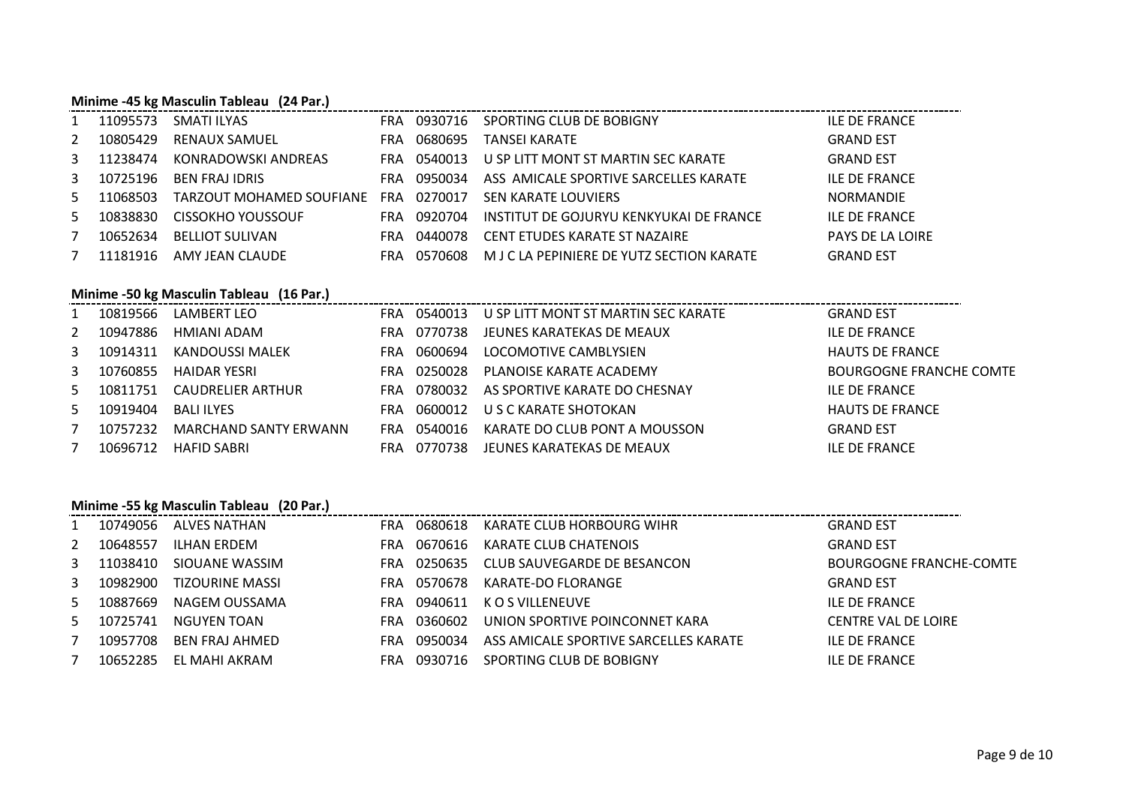#### **Minime -45 kg Masculin Tableau (24 Par.)**

| 1   | 11095573 | SMATI ILYAS              | <b>FRA</b> | 0930716 | SPORTING CLUB DE BOBIGNY                  | <b>ILE DE FRANCE</b>    |
|-----|----------|--------------------------|------------|---------|-------------------------------------------|-------------------------|
| 2   | 10805429 | <b>RENAUX SAMUEL</b>     | FRA        | 0680695 | TANSEI KARATE                             | <b>GRAND EST</b>        |
| 3   | 11238474 | KONRADOWSKI ANDREAS      | <b>FRA</b> | 0540013 | U SP LITT MONT ST MARTIN SEC KARATE       | <b>GRAND EST</b>        |
| 3   | 10725196 | <b>BEN FRAJ IDRIS</b>    | <b>FRA</b> | 0950034 | ASS AMICALE SPORTIVE SARCELLES KARATE     | <b>ILE DE FRANCE</b>    |
| 5   | 11068503 | TARZOUT MOHAMED SOUFIANE | FRA        | 0270017 | <b>SEN KARATE LOUVIERS</b>                | <b>NORMANDIE</b>        |
| .5. | 10838830 | CISSOKHO YOUSSOUF        | FRA        | 0920704 | INSTITUT DE GOJURYU KENKYUKAI DE FRANCE   | <b>ILE DE FRANCE</b>    |
|     | 10652634 | BELLIOT SULIVAN          | <b>FRA</b> | 0440078 | CENT ETUDES KARATE ST NAZAIRE             | <b>PAYS DE LA LOIRE</b> |
|     | 11181916 | AMY JEAN CLAUDE          | FRA        | 0570608 | M J C LA PEPINIERE DE YUTZ SECTION KARATE | <b>GRAND EST</b>        |

#### **Minime -50 kg Masculin Tableau (16 Par.)**

|    | 10819566 | LAMBERT LEO           |      | FRA 0540013 | U SP LITT MONT ST MARTIN SEC KARATE | <b>GRAND EST</b>               |
|----|----------|-----------------------|------|-------------|-------------------------------------|--------------------------------|
| 2  | 10947886 | HMIANI ADAM           | FRA. | 0770738     | JEUNES KARATEKAS DE MEAUX           | <b>ILE DE FRANCE</b>           |
| 3  | 10914311 | KANDOUSSI MALEK       | FRA. | 0600694     | LOCOMOTIVE CAMBLYSIEN               | <b>HAUTS DE FRANCE</b>         |
| 3  | 10760855 | <b>HAIDAR YESRI</b>   | FRA  | 0250028     | PLANOISE KARATE ACADEMY             | <b>BOURGOGNE FRANCHE COMTE</b> |
| 5. | 10811751 | CAUDRELIER ARTHUR     | FRA. | 0780032     | AS SPORTIVE KARATE DO CHESNAY       | ILE DE FRANCE                  |
| 5. | 10919404 | BALI ILYES            | FRA. | 0600012     | U S C KARATE SHOTOKAN               | <b>HAUTS DE FRANCE</b>         |
|    | 10757232 | MARCHAND SANTY ERWANN | FRA  | 0540016     | KARATE DO CLUB PONT A MOUSSON       | <b>GRAND EST</b>               |
|    | 10696712 | HAFID SABRI           | FRA  | 0770738     | JEUNES KARATEKAS DE MEAUX           | <b>ILE DE FRANCE</b>           |

# **Minime -55 kg Masculin Tableau (20 Par.)**

|              | 10749056 | ALVES NATHAN    | <b>FRA</b> | 0680618 | KARATE CLUB HORBOURG WIHR             | <b>GRAND EST</b>           |
|--------------|----------|-----------------|------------|---------|---------------------------------------|----------------------------|
| 2            | 10648557 | ILHAN ERDEM     | <b>FRA</b> | 0670616 | KARATE CLUB CHATENOIS                 | <b>GRAND EST</b>           |
| $\mathbf{3}$ | 11038410 | SIOUANE WASSIM  | <b>FRA</b> | 0250635 | CLUB SAUVEGARDE DE BESANCON           | BOURGOGNE FRANCHE-COMTE    |
| 3            | 10982900 | TIZOURINE MASSI | FRA        | 0570678 | KARATE-DO FLORANGE                    | <b>GRAND EST</b>           |
| 5.           | 10887669 | NAGEM OUSSAMA   | FRA        | 0940611 | K O S VILLENEUVE                      | <b>ILE DE FRANCE</b>       |
| 5            | 10725741 | NGUYEN TOAN     | FRA        | 0360602 | UNION SPORTIVE POINCONNET KARA        | <b>CENTRE VAL DE LOIRE</b> |
|              | 10957708 | BEN FRAJ AHMED  | FRA        | 0950034 | ASS AMICALE SPORTIVE SARCELLES KARATE | <b>ILE DE FRANCE</b>       |
|              | 10652285 | EL MAHI AKRAM   | <b>FRA</b> | 0930716 | SPORTING CLUB DE BOBIGNY              | <b>ILE DE FRANCE</b>       |
|              |          |                 |            |         |                                       |                            |